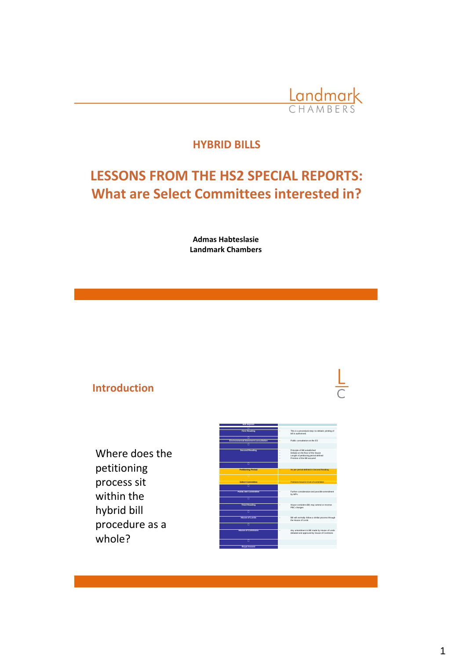

### **HYBRID BILLS**

# **LESSONS FROM THE HS2 SPECIAL REPORTS: What are Select Committees interested in?**

**Admas Habteslasie Landmark Chambers**

### **Introduction**

Where does the petitioning process sit within the hybrid bill procedure as a whole?

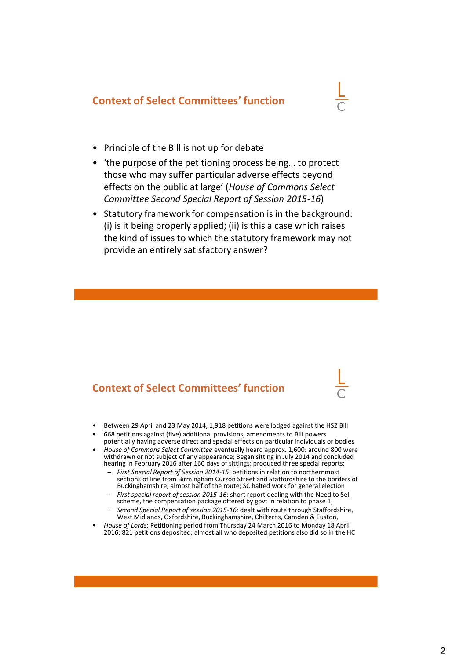### **Context of Select Committees' function**

- Principle of the Bill is not up for debate
- 'the purpose of the petitioning process being… to protect those who may suffer particular adverse effects beyond effects on the public at large' (*House of Commons Select Committee Second Special Report of Session 2015-16*)
- Statutory framework for compensation is in the background: (i) is it being properly applied; (ii) is this a case which raises the kind of issues to which the statutory framework may not provide an entirely satisfactory answer?

### **Context of Select Committees' function**

- Between 29 April and 23 May 2014, 1,918 petitions were lodged against the HS2 Bill
- 668 petitions against (five) additional provisions; amendments to Bill powers
- potentially having adverse direct and special effects on particular individuals or bodies • *House of Commons Select Committee* eventually heard approx. 1,600: around 800 were withdrawn or not subject of any appearance; Began sitting in July 2014 and concluded
	- hearing in February 2016 after 160 days of sittings; produced three special reports: – *First Special Report of Session 2014-15*: petitions in relation to northernmost sections of line from Birmingham Curzon Street and Staffordshire to the borders of Buckinghamshire; almost half of the route; SC halted work for general election
	- *First special report of session 2015-16*: short report dealing with the Need to Sell scheme, the compensation package offered by govt in relation to phase 1;
	- *Second Special Report of session 2015-16:* dealt with route through Staffordshire, West Midlands, Oxfordshire, Buckinghamshire, Chilterns, Camden & Euston,
- *House of Lords*: Petitioning period from Thursday 24 March 2016 to Monday 18 April 2016; 821 petitions deposited; almost all who deposited petitions also did so in the HC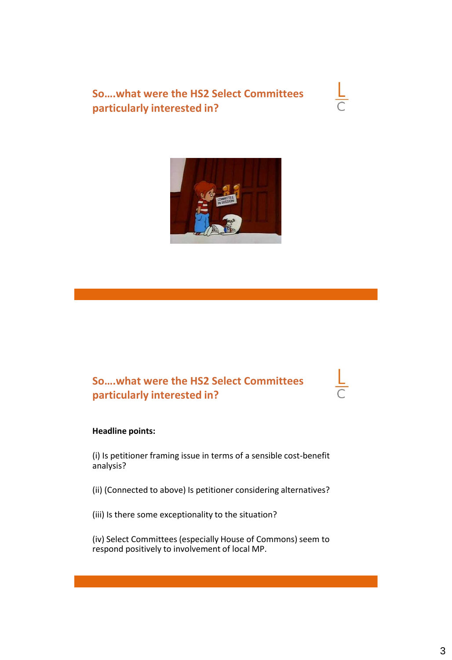**So….what were the HS2 Select Committees particularly interested in?**



## **So….what were the HS2 Select Committees particularly interested in?**

### **Headline points:**

(i) Is petitioner framing issue in terms of a sensible cost-benefit analysis?

(ii) (Connected to above) Is petitioner considering alternatives?

(iii) Is there some exceptionality to the situation?

(iv) Select Committees (especially House of Commons) seem to respond positively to involvement of local MP.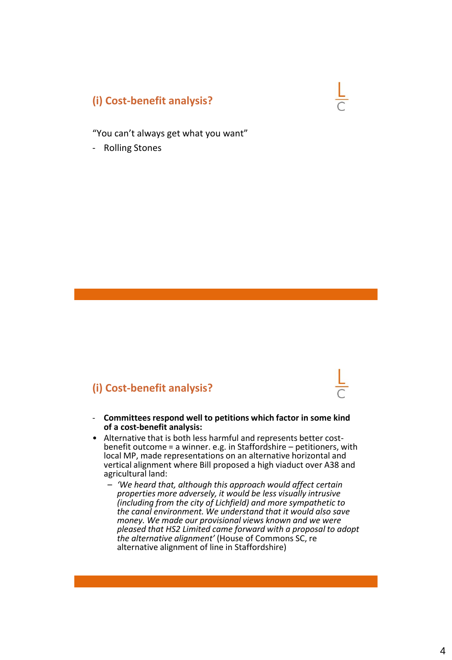### **(i) Cost-benefit analysis?**

"You can't always get what you want"

- Rolling Stones

### **(i) Cost-benefit analysis?**

- **Committees respond well to petitions which factor in some kind of a cost-benefit analysis:**
- Alternative that is both less harmful and represents better costbenefit outcome = a winner. e.g. in Staffordshire – petitioners, with local MP, made representations on an alternative horizontal and vertical alignment where Bill proposed a high viaduct over A38 and agricultural land:
	- *'We heard that, although this approach would affect certain properties more adversely, it would be less visually intrusive (including from the city of Lichfield) and more sympathetic to the canal environment. We understand that it would also save money. We made our provisional views known and we were pleased that HS2 Limited came forward with a proposal to adopt the alternative alignment'* (House of Commons SC, re alternative alignment of line in Staffordshire)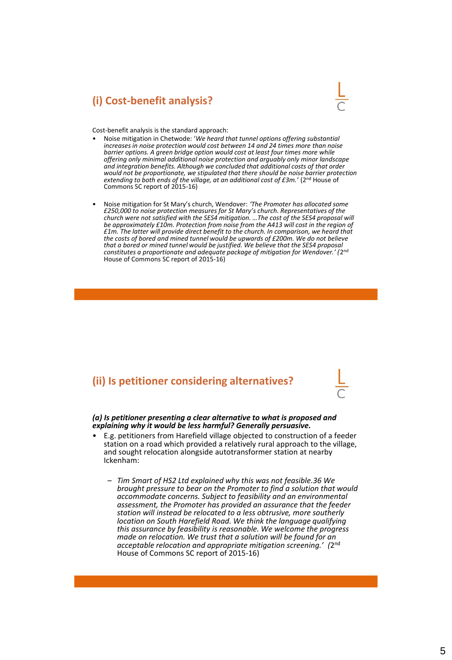### **(i) Cost-benefit analysis?**



Cost-benefit analysis is the standard approach:

- Noise mitigation in Chetwode: '*We heard that tunnel options offering substantial increases in noise protection would cost between 14 and 24 times more than noise barrier options. A green bridge option would cost at least four times more while offering only minimal additional noise protection and arguably only minor landscape and integration benefits. Although we concluded that additional costs of that order*  would not be proportionate, we stipulated that there should be noise barrier protection<br>extending to both ends of the village, at an additional cost of £3m.' (2<u>nd House</u> of Commons SC report of 2015-16)
- Noise mitigation for St Mary's church, Wendover: *'The Promoter has allocated some £250,000 to noise protection measures for St Mary's church. Representatives of the church were not satisfied with the SES4 mitigation. …The cost of the SES4 proposal will be approximately £10m. Protection from noise from the A413 will cost in the region of £1m. The latter will provide direct benefit to the church. In comparison, we heard that the costs of bored and mined tunnel would be upwards of £200m. We do not believe that a bored or mined tunnel would be justified. We believe that the SES4 proposal*  constitutes a proportionate and adequate package of mitigation for Wendover.' (2<sup>nd</sup> House of Commons SC report of 2015-16)

### **(ii) Is petitioner considering alternatives?**



*(a) Is petitioner presenting a clear alternative to what is proposed and explaining why it would be less harmful? Generally persuasive.*

- E.g. petitioners from Harefield village objected to construction of a feeder station on a road which provided a relatively rural approach to the village, and sought relocation alongside autotransformer station at nearby Ickenham:
	- *Tim Smart of HS2 Ltd explained why this was not feasible.36 We brought pressure to bear on the Promoter to find a solution that would accommodate concerns. Subject to feasibility and an environmental assessment, the Promoter has provided an assurance that the feeder station will instead be relocated to a less obtrusive, more southerly location on South Harefield Road. We think the language qualifying this assurance by feasibility is reasonable. We welcome the progress made on relocation. We trust that a solution will be found for an acceptable relocation and appropriate mitigation screening.' (*2 nd House of Commons SC report of 2015-16)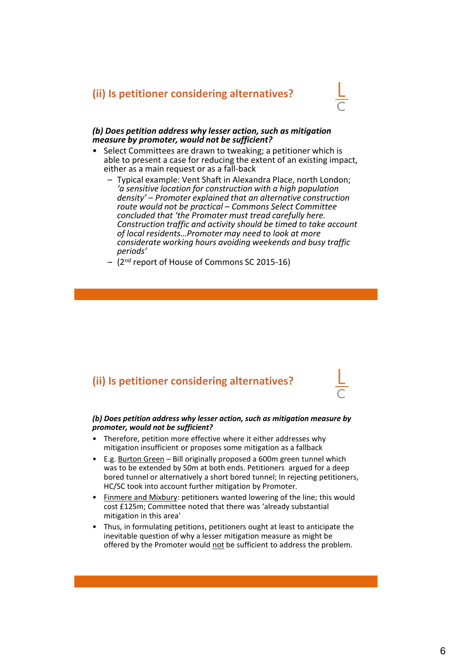### **(ii) Is petitioner considering alternatives?**



#### *(b) Does petition address why lesser action, such as mitigation measure by promoter, would not be sufficient?*

- Select Committees are drawn to tweaking; a petitioner which is able to present a case for reducing the extent of an existing impact, either as a main request or as a fall-back
	- Typical example: Vent Shaft in Alexandra Place, north London; *'a sensitive location for construction with a high population density' – Promoter explained that an alternative construction route would not be practical – Commons Select Committee concluded that 'the Promoter must tread carefully here. Construction traffic and activity should be timed to take account of local residents…Promoter may need to look at more considerate working hours avoiding weekends and busy traffic periods'*
	- (2nd report of House of Commons SC 2015-16)

### **(ii) Is petitioner considering alternatives?**

#### *(b) Does petition address why lesser action, such as mitigation measure by promoter, would not be sufficient?*

- Therefore, petition more effective where it either addresses why mitigation insufficient or proposes some mitigation as a fallback
- E.g. Burton Green Bill originally proposed a 600m green tunnel which was to be extended by 50m at both ends. Petitioners argued for a deep bored tunnel or alternatively a short bored tunnel; In rejecting petitioners, HC/SC took into account further mitigation by Promoter.
- Finmere and Mixbury: petitioners wanted lowering of the line; this would cost £125m; Committee noted that there was 'already substantial mitigation in this area'
- Thus, in formulating petitions, petitioners ought at least to anticipate the inevitable question of why a lesser mitigation measure as might be offered by the Promoter would not be sufficient to address the problem.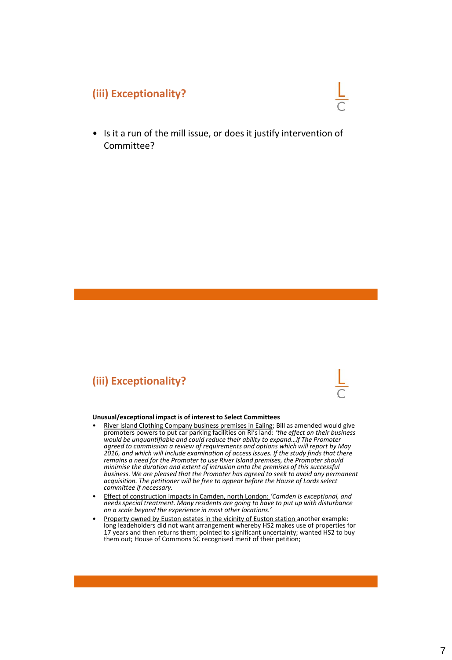### **(iii) Exceptionality?**

• Is it a run of the mill issue, or does it justify intervention of Committee?

### **(iii) Exceptionality?**

#### **Unusual/exceptional impact is of interest to Select Committees**

- River Island Clothing Company business premises in Ealing; Bill as amended would give promoters powers to put car parking facilities on RI's land: *'the effect on their business would be unquantifiable and could reduce their ability to expand…if The Promoter agreed to commission a review of requirements and options which will report by May 2016, and which will include examination of access issues. If the study finds that there remains a need for the Promoter to use River Island premises, the Promoter should minimise the duration and extent of intrusion onto the premises of this successful business. We are pleased that the Promoter has agreed to seek to avoid any permanent acquisition. The petitioner will be free to appear before the House of Lords select committee if necessary.*
- Effect of construction impacts in Camden, north London: *'Camden is exceptional, and needs special treatment. Many residents are going to have to put up with disturbance on a scale beyond the experience in most other locations.'*
- Property owned by Euston estates in the vicinity of Euston station another example: long leadeholders did not want arrangement whereby HS2 makes use of properties for 17 years and then returns them; pointed to significant uncertainty; wanted HS2 to buy them out; House of Commons SC recognised merit of their petition;